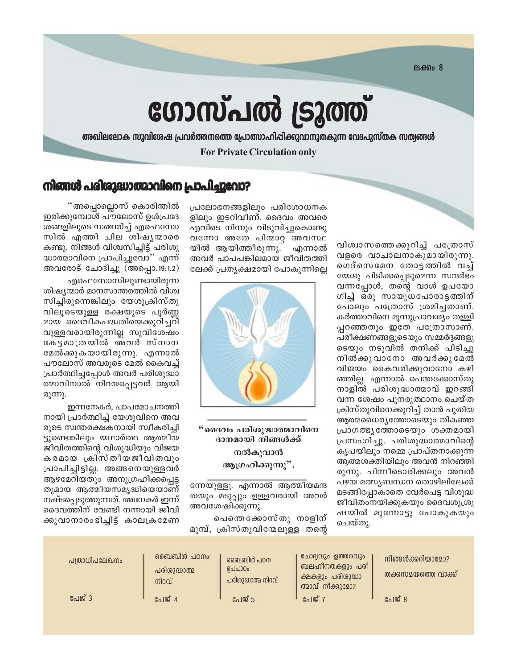$PIAB008$ 

# ഗോസ്പൽ ട്രൂത്ത്

അഖിലലോക സുവിശേഷ പ്രവർത്തനത്തെ പ്രോത്സാഹിപ്പിക്കുവാനുതകുന്ന വേദപുസ്തക സത്വങ്ങൾ

**For Private Circulation only** 

### നിങ്ങൾ പരിശുദ്ധാത്മാവിനെ പ്രാപിച്ചുവോ?

വിശ്വാസത്തെക്കുറിച്ച് പത്രോസ് വളരെ വാചാലനാകുമായിരുന്നു. ഗെദ്സെമേന തോട്ടത്തിൽ വച് യേശു പിടിക്കപ്പെടുമെന്ന സന്ദർഭം വന്നപ്പോൾ, തന്റെ വാൾ ഉപയോ ഗിച്ച് ഒരു സായുധപോരാട്ടത്തിന് പോലും പത്രോസ് ശ്രമിച്ചതാണ്. കർത്താവിനെ മൂന്നുപ്രാവശ്യം തള്ളി പ്പറഞ്ഞതും ഇതേ പത്രോസാണ്. പരീക്ഷണങ്ങളുടെയും സമ്മർദ്ദങ്ങളു ടെയും നടുവിൽ തനിക്ക് പിടിച്ചു നിൽക്കുവാനോ അവർക്കുമേൽ വിജയം കൈവരിക്കുവാനോ കഴി ഞ്ഞില്ല. എന്നാൽ പെന്തക്കോസ്തു നാളിൽ പരിശുദ്ധാത്മാവ് ഇറങ്ങി വന്ന ശേഷം പുനരുത്ഥാനം ചെയ്ത ക്രിസ്തുവിനെക്കുറിച്ച് താൻ പുതിയ ആത്മധൈര്യത്തോടെയും തികഞ്ഞ പ്രാഗത്ഭൃത്തോടെയും ശക്തമായി പ്രസംഗിച്ചു. പരിശുദ്ധാത്മാവിന്റെ കൃപയിലും നമ്മെ പ്രാപ്തനാക്കുന്ന ആത്മശക്തിയിലും അവൻ നിറഞ്ഞി രുന്നു. പിന്നീടൊരിക്കലും അവൻ പഴയ മത്സ്യബന്ധന തൊഴിലിലേക്ക് മടങ്ങിപ്പോകാതെ വേർപെട്ട വിശുദ്ധ ജീവിതംനയിക്കുകയും ദൈവശുശ്രു ഷയിൽ മുന്നോട്ടു പോകുകയും ചെയ്തു.

പ്രലോഭനങ്ങളിലും പരിശോധനക ളിലും ഇടറിവീണ്, ദൈവം അവരെ എവിടെ നിന്നും വിടുവിച്ചുകൊണ്ടു വന്നോ അതേ പിന്മാറ്റ അവസ്ഥ എന്നാൽ യിൽ ആയിത്തീരുന്നു. അവർ പാപപങ്കിലമായ ജീവിതത്തി ലേക്ക് പ്രതൃക്ഷമായി പോകുന്നില്ലെ



"ദൈവം പരിശുദ്ധാത്മാവിനെ ദാനമായി നിങ്ങൾക്ക് നൽകുവാൻ ആഗ്രഹിക്കുന്നു".

ന്നേയുള്ളു. എന്നാൽ ആത്മീയമന്ദ തയും മടുപ്പും ഉള്ളവരായി അവർ അവശേഷിക്കുന്നു.

പെന്തെക്കോസ്തു നാളിന് മുമ്പ്, ക്രിസ്തുവിന്മേലുള്ള തന്റെ

''അപ്പൊല്ലൊസ് കൊരിന്തിൽ ഇരിക്കുമ്പോൾ പൗലോസ് ഉൾപ്രദേ ശങ്ങളിലൂടെ സഞ്ചരിച്ച് എഫെസോ സിൽ എത്തി ചില ശിഷൃന്മാരെ കണ്ടു. നിങ്ങൾ വിശ്വസിച്ചിട്ട് പരിശു ദ്ധാത്മാവിനെ പ്രാപിച്ചുവോ'' എന്ന് അവരോട് ചോദിച്ചു (അപ്പൊ.19:1,2)

എഫെസോസിലുണ്ടായിരുന്ന ശിഷ്യന്മാർ മാനസാന്തരത്തിൽ വിശ്വ സിച്ചിരുന്നെങ്കിലും യേശുക്രിസ്തു വിലുടെയുള്ള രക്ഷയുടെ പൂർണ്ണ മായ ദൈവീകപദ്ധതിയെക്കുറിച്ചറി വുള്ളവരായിരുന്നില്ല സുവിശേഷം കേട്ടമാത്രയിൽ അവർ സ്നാന മേൽക്കുകയായിരുന്നു. എന്നാൽ പൗലോസ് അവരുടെ മേൽ കൈവച്ച് പ്രാർത്ഥിച്ചപ്പോൾ അവർ പരിശുദ്ധാ ത്മാവിനാൽ നിറയപ്പെട്ടവർ ആയി രുന്നു.

ഇന്നനേകർ, പാപമോചനത്തി നായി പ്രാർത്ഥിച്ച് യേശുവിനെ അവ രുടെ സ്വന്തരക്ഷകനായി സ്വീകരിച്ചി ട്ടുണ്ടെങ്കിലും യഥാർത്ഥ ആത്മീയ ജീവിതത്തിന്റെ വിശുദ്ധിയും വിജയ കരമായ ക്രിസ്തീയജീവിതവും പ്രാപിച്ചിട്ടില്ല. അങ്ങനെയുള്ളവർ ആഴമേറിയതും അനുഗ്രഹിക്കപ്പെട്ട തുമായ ആത്മീയസമൃദ്ധിയെയാണ് നഷ്ടപ്പെടുത്തുന്നത്. അനേകർ ഇന്ന് ദൈവത്തിന് വേണ്ടി നന്നായി ജീവി ക്കുവാനാരംഭിച്ചിട്ട് കാലക്രമേണ

| പത്രാധിപലേഖനം | ബൈബിൾ പഠനം:<br>പരിശുദ്ധാത്മ<br>നിറവ് | ബൈബിൾ പഠന<br>ഉപപാഠം:<br>പരിശുദ്ധാത്മ നിറവ് | ്ലോദ്വവും ഉത്തരവും.<br>ബലഹീനതകളും പരി<br>ക്ഷകളും പരിശുദ്ധാ<br>ത്മാവ് നീക്കുമോ? | നിങ്ങൾക്കറിയാമോ?<br>തക്കസമയത്തെ വാക്ക് |
|---------------|--------------------------------------|--------------------------------------------|--------------------------------------------------------------------------------|----------------------------------------|
| പേജ് 3        | പേജ് 4                               | പേജ് 5                                     | പേജ് :                                                                         | പേജ് 8                                 |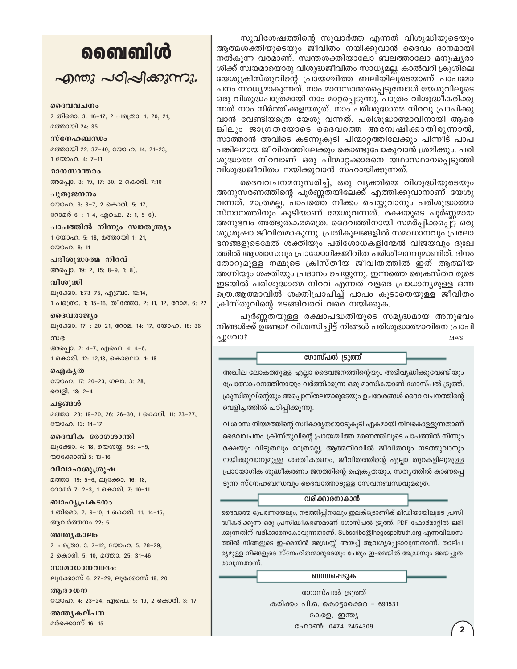## வைவிൾ

 $\sim$  and  $\sim$  of  $\sim$  and  $\sim$  .

#### ദൈവവചനം

2 തിമൊ. 3: 16-17, 2 പത്രൊ. 1: 20, 21, മത്തായി 24: 35

സ്നേഹബന്ധം

മത്തായി 22: 37-40, യോഹ. 14: 21-23, 1 00000. 4: 7-11

മാനസാന്തരം അപ്പൊ. 3: 19, 17: 30, 2 കൊരി. 7:10

പുതുജനനം യോഹ. 3: 3-7, 2 കൊരി. 5: 17, റോമർ 6 : 1-4, എഫെ. 2: 1, 5-6).

പാപത്തിൽ നിന്നും സ്വാതന്ത്ര്യം 1 യോഹ. 5: 18, മത്തായി 1: 21, യോഹ. 8: 11

പരിശുദ്ധാത്മ നിറവ് അപ്പൊ. 19: 2, 15: 8-9, 1: 8).

വിശുദ്ധി ലൂക്കോ. 1:73-75, എബ്രാ. 12:14, 1 പത്രൊ. 1: 15-16, തീത്തോ. 2: 11, 12, റോമ. 6: 22

ദൈവരാജ്യം ലൂക്കോ. 17: 20-21, റോമ. 14: 17, യോഹ. 18: 36  $m$ ) $e$ അപ്പൊ. 2: 4-7, എഫെ. 4: 4-6, 1 കൊരി. 12: 12,13, കൊലൊ. 1: 18

ഐകൃത യോഹ. 17: 20-23, ഗലാ. 3: 28, വെളി. 18: 2-4

ചട്ടങ്ങൾ മത്താ. 28: 19-20, 26: 26-30, 1 കൊരി. 11: 23-27, യോഹ. 13: 14-17

ദൈവീക രോഗശാന്തി ലൂക്കോ. 4: 18, യെശയ്യ. 53: 4-5, യാക്കോബ് 5: 13-16

വിവാഹശുശ്രൂഷ മത്താ. 19: 5-6, ലുക്കോ. 16: 18, റോമർ 7: 2-3, 1 കൊരി. 7: 10-11

ബാഹൃപ്രകടനം 1 തിമൊ. 2: 9-10, 1 കൊരി. 11: 14-15, ആവർത്തനം 22: 5

അന്ത്യകാലം 2 പക്രൊ. 3: 7-12, യോഹ. 5: 28-29, 2 കൊരി. 5: 10, മത്താ. 25: 31-46

സാമാധാനവാദം: ലൂക്കോസ് 6: 27-29, ലൂക്കോസ് 18: 20

ആരാധന യോഹ. 4: 23-24, എഫെ. 5: 19, 2 കൊരി. 3: 17

അന്തൃകല്പന മർക്കൊസ് 16: 15

സുവിശേഷത്തിന്റെ സുവാർത്ത എന്നത് വിശുദ്ധിയുടെയും ആത്മശക്തിയുടെയും ജീവിതം നയിക്കുവാൻ ദൈവം ദാനമായി നൽകുന്ന വരമാണ്. സ്വന്തശക്തിയാലോ ബലത്താലോ മനുഷ്യരാ ശിക്ക് സ്വയമായൊരു വിശുദ്ധജീവിതം സാധ്യമല്ല. കാൽവറി ക്രുശിലെ യേശുക്രിസ്തുവിന്റെ പ്രായശ്ചിത്ത ബലിയിലൂടെയാണ് പാപമോ ചനം സാധ്യമാകുന്നത്. നാം മാനസാന്തരപ്പെടുമ്പോൾ യേശുവിലൂടെ ഒരു വിശുദ്ധപാത്രമായി നാം മാറ്റപ്പെടുന്നു. പാത്രം വിശുദ്ധീകരിക്കു ന്നത് നാം നിർത്തിക്കളയരുത്. നാം പരിശുദ്ധാത്മ നിറവു പ്രാപിക്കു വാൻ വേണ്ടിയത്രെ യേശു വന്നത്. പരിശുദ്ധാത്മാവിനായി ആരെ ങ്കിലും ജാഗ്രതയോടെ ദൈവത്തെ അന്വേഷിക്കാതിരുന്നാൽ, സാത്താൻ അവിടെ കടന്നുകൂടി പിന്മാറ്റത്തിലേക്കും പിന്നീട് പാപ പങ്കിലമായ ജീവിതത്തിലേക്കും കൊണ്ടുപോകുവാൻ ശ്രമിക്കും. പരി ശുദ്ധാത്മ നിറവാണ് ഒരു പിന്മാറ്റക്കാരനെ യഥാസ്ഥാനപ്പെടുത്തി വിശുദ്ധജീവിതം നയിക്കുവാൻ സഹായിക്കുന്നത്.

ദൈവവചനമനുസരിച്ച്, ഒരു വൃക്തിയെ വിശുദ്ധിയുടെയും അനുസരണത്തിന്റെ പൂർണ്ണതയിലേക്ക് എത്തിക്കുവാനാണ് യേശു വന്നത്. മാത്രമല്ല, പാപത്തെ നീക്കം ചെയ്യുവാനും പരിശുദ്ധാത്മാ സ്നാനത്തിനും കൂടിയാണ് യേശുവന്നത്. രക്ഷയുടെ പൂർണ്ണമായ അനുഭവം അത്ഭുതകരമത്രെ. ദൈവത്തിനായി സമർപ്പിക്കപ്പെട്ട ഒരു ശുശ്രൂഷാ ജീവിതമാകുന്നു. പ്രതികൂലങ്ങളിൽ സമാധാനവും പ്രലോ ഭനങ്ങളുടെമേൽ ശക്തിയും പരിശോധകളിന്മേൽ വിജയവും ദുഃഖ ത്തിൽ ആശ്വാസവും പ്രായോഗികജീവിത പരിശീലനവുമാണിത്. ദിനം തോറുമുള്ള നമ്മുടെ ക്രിസ്തീയ ജീവിതത്തിൽ ഇത് ആത്മീയ അഗ്നിയും ശക്തിയും പ്രദാനം ചെയ്യുന്നു. ഇന്നത്തെ ക്രൈസ്തവരുടെ ഇടയിൽ പരിശുദ്ധാത്മ നിറവ് എന്നത് വളരെ പ്രാധാന്യമുള്ള ഒന്ന ത്രെ.ആത്മാവിൽ ശക്തിപ്രാപിച്ച് പാപം കൂടാതെയുള്ള ജീവിതം ക്രിസ്തുവിന്റെ മടങ്ങിവരവ് വരെ നയിക്കുക.

പൂർണ്ണതയുള്ള രക്ഷാപദ്ധതിയുടെ സമൃദ്ധമായ അനുഭവം നിങ്ങൾക്ക് ഉണ്ടോ? വിശ്വസിച്ചിട്ട് നിങ്ങൾ പരിശുദ്ധാത്മാവിനെ പ്രാപി ച്ചുവോ? **MWS** 

ഗോസ്പൽ ട്രൂത്ത്

അഖില ലോകത്തുള്ള എല്ലാ ദൈവജനത്തിന്റെയും അഭിവൃദ്ധിക്കുവേണ്ടിയും പ്രോത്സാഹനത്തിനായും വർത്തിക്കുന്ന ഒരു മാസികയാണ് ഗോസ്പൽ ട്രൂത്ത്. ക്രുസിതുവിന്റെയും അപ്പൊസ്തലന്മാരുടെയും ഉപദേശങ്ങൾ ദൈവവചനത്തിന്റെ വെളിച്ചത്തിൽ പഠിപ്പിക്കുന്നു.

വിശ്വാസ നിയമത്തിന്റെ സ്ഥീകാര്യതയോടുകൂടി ഏകമായി നിലകൊള്ളുന്നതാണ് ദൈവവചനം. ക്രിസ്തുവിന്റെ പ്രായശ്ചിത്ത മരണത്തിലൂടെ പാപത്തിൽ നിന്നും രക്ഷയും വിടുതലും മാത്രമല്ല, ആത്മനിറവിൽ ജീവിതവും നടത്തുവാനും നയിക്കുവാനുമുള്ള ശക്തീകരണം, ജീവിതത്തിന്റെ എല്ലാ തുറകളിലുമുള്ള പ്രായോഗിക ശുദ്ധീകരണം ജനത്തിന്റെ ഐക്യതയും, സത്യത്തിൽ കാണപ്പെ ടുന്ന സ്നേഹബന്ധവും ദൈവത്തോടുള്ള സേവനബന്ധവുമത്രെ.

#### വരിക്കാരനാകാൻ

ദൈവാത്മ പ്രേരണായലും, നടത്തിപ്പിനാലും ഇലക്ട്രോണിക് മീഡിയായിലൂടെ പ്രസി ദ്ധീകരിക്കുന്ന ഒരു പ്രസിദ്ധീകരണമാണ് ഗോസ്പൽ ട്രൂത്ത്. PDF ഫോർമാറ്റിൽ ലഭി ക്കുന്നതിന് വരിക്കാരനാകാവുന്നതാണ്. Subscribe@thegospeltruth.org എന്നവിലാസ ത്തിൽ നിങ്ങളുടെ ഇ-മെയിൽ അഡ്രസ്സ് അയച്ച് ആവശ്യപ്പെടാവുന്നതാണ്. താല്പ ര്യമുള്ള നിങ്ങളുടെ സ്നേഹിതന്മാരുടെയും പേരും ഇ-മെയിൽ അഡ്രസും അയച്ചുത രാവുന്നതാണ്.

#### ബന്ധപ്പെടുക

ഗോസ്പൽ ട്രൂത്ത് കരിക്കം പി.ഒ. കൊട്ടാരക്കര - 691531 കേരള, ഇന്ത്യ ഫോൺ: 0474 2454309

 $\overline{2}$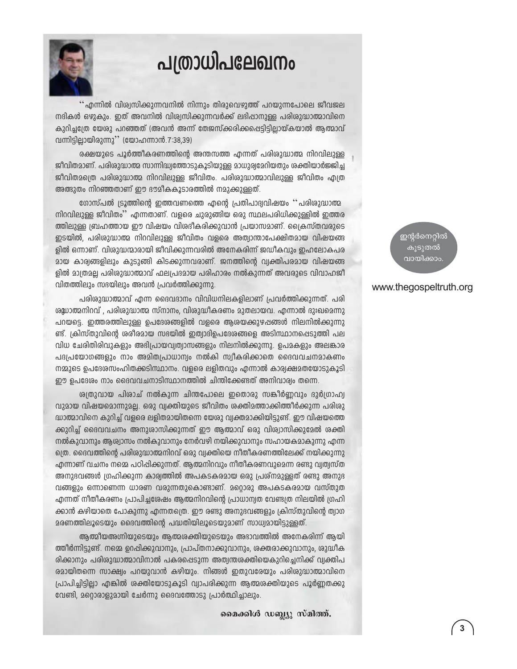

## പത്രാധിപലേഖനം

'' എന്നിൽ വിശ്വസിക്കുന്നവനിൽ നിന്നും തിരുവെഴുത്ത് പറയുന്നപോലെ ജീവജല നദികൾ ഒഴുകും. ഇത് അവനിൽ വിശ്വസിക്കുന്നവർക്ക് ലഭിഷാനുള്ള പരിശുദ്ധാത്മാവിനെ കുറിച്ചത്രേ യേശു പറഞ്ഞത് (അവൻ അന്ന് തേജസ്ക്കരിക്കപ്പെട്ടിട്ടില്ലായ്കയാൽ ആത്മാവ് വന്നിട്ടില്ലായിരുന്നു'' (യോഹന്നാൻ.7:38,39)

രക്ഷയുടെ പൂർത്തീകരണത്തിന്റെ അന്തസത്ത എന്നത് പരിശുദ്ധാത്മ നിറവിലുള്ള ജീവിതമാണ്. പരിശുദ്ധാത്മ സാന്നിദ്ധ്വത്തോടുകൂടിയുള്ള മാധുര്യമേറിയതും ശക്തിയാർജ്ജിച്ച ജീവിതമത്രെ പരിശുദ്ധാത്മ നിറവിലുള്ള ജീവിതം. പരിശുദ്ധാത്മാവിലുള്ള ജീവിതം എത്ര അത്ഭുതം നിറഞ്ഞതാണ് ഈ ഭൗമീകകൂടാരത്തിൽ നമുക്കുള്ളത്.

ഗോസ്പൽ ട്രൂത്തിന്റെ ഇത്തവണത്തെ എന്റെ പ്രതിപാദ്വവിഷയം ''പരിശുദ്ധാത്മ നിറവിലുള്ള ജീവിതം'' എന്നതാണ്. വളരെ ചുരുങ്ങിയ ഒരു സ്ഥലപരിധിക്കുള്ളിൽ ഇത്തര ത്തിലുള്ള ബ്രഹത്തായ ഈ വിഷയം വിശദീകരിക്കുവാൻ പ്രയാസമാണ്. ക്രൈസ്തവരുടെ ഇടയിൽ, പരിശുദ്ധാത്മ നിറവിലുള്ള ജീവിതം വളരെ അത്വാന്താപേക്ഷിതമായ വിഷയങ്ങ ളിൽ ഒന്നാണ്. വിശുദ്ധന്മാരായി ജീവിക്കുന്നവരിൽ അനേകരിന്ന് ജഡീകവും ഇഹലോകപര മായ കാര്വങ്ങളിലും കുടുങ്ങി കിടക്കുന്നവരാണ്. ജനത്തിന്റെ വ്വക്തിപരമായ വിഷയങ്ങ ളിൽ മാത്രമല്ല പരിശുദ്ധാത്മാവ് ഫലപ്രദമായ പരിഹാരം നൽകുന്നത് അവരുടെ വിവാഹജീ വിതത്തിലും സഭയിലും അവൻ പ്രവർത്തിക്കുന്നു.

പരിശുദ്ധാത്മാവ് എന്ന ദൈവദാനം വിവിധനിലകളിലാണ് പ്രവർത്തിക്കുന്നത്. പരി ശുധാത്മനിറവ് , പരിശുദ്ധാത്മ സ്നാനം, വിശുദ്ധീകരണം മുതലായവ. എന്നാൽ ദുഃഖമെന്നു പറയട്ടെ. ഇത്തരത്തിലുള്ള ഉപദേശങ്ങളിൽ വളരെ ആശയക്കുഴപ്പങ്ങൾ നിലനിൽക്കുന്നു ണ്ട്. ക്രിസ്തുവിന്റെ ശരീരമായ സഭയിൽ ഇത്വാദിഉപദേശങ്ങളെ അടിസ്ഥാനപ്പെടുത്തി പല വിധ ചേരിതിരിവുകളും അഭിപ്രായവ്വത്വാസങ്ങളും നിലനിൽക്കുന്നു. ഉപമകളും അലങ്കാര പദപ്രയോഗങ്ങളും നാം അമിതപ്രാധാന്വം നൽകി സ്വീകരിക്കാതെ ദൈവവചനമാകണം നമ്മുടെ ഉപദേശസംഹിതക്കടിസ്ഥാനം. വളരെ ലളിതവും എന്നാൽ കാര്യക്ഷമതയോടുകൂടി ഈ ഉപദേശം നാം ദൈവവചനാടിസ്ഥാനത്തിൽ ചിന്തിക്കേണ്ടത് അനിവാര്യം തന്നെ.

ശ്വതുവായ പിശാച് നൽകുന്ന ചിന്തപോലെ ഇതൊരു സങ്കീർണ്ണവും ദുർഗ്രാഹ്വ വുമായ വിഷയമൊന്നുമല്ല. ഒരു വ്വക്തിയുടെ ജീവിതം ശക്തിമത്താക്കിത്തീർക്കുന്ന പരിശു ദ്ധാത്മാവിനെ കുറിച്ച് വളരെ ലളിതമായിതന്നെ യേശു വ്വക്തമാക്കിയിട്ടുണ്ട്. ഈ വിഷയത്തെ ക്കുറിച്ച് ദൈവവചനം അനുശാസിക്കുന്നത് ഈ ആത്മാവ് ഒരു വിശ്വാസിക്കുമേൽ ശക്തി നൽകുവാനും ആശ്വാസം നൽകുവാനും നേർവഴി നയിക്കുവാനും സഹായകമാകുന്നു എന്ന ത്രെ. ദൈവത്തിന്റെ പരിശുദ്ധാത്മനിറവ് ഒരു വ്വക്തിയെ നീതീകരണത്തിലേക്ക് നയിക്കുന്നു എന്നാണ് വചനം നമ്മെ പഠിപ്പിക്കുന്നത്. ആത്മനിറവും നീതീകരണവുമെന്ന രണ്ടു വ്വത്വസ്ത അനുഭവങ്ങൾ ഗ്രഹിക്കുന്ന കാര്വത്തിൽ അപകടകരമായ ഒരു പ്രശ്നമുള്ളത് രണ്ടു അനുഭ വങ്ങളും ഒന്നാണെന്ന ധാരണ വരുന്നതുകൊണ്ടാണ്. മറ്റൊരു അപകടകരമായ വസ്തുത എന്നത് നീതീകരണം പ്രാപിച്ചശേഷം ആത്മനിറവിന്റെ പ്രാധാന്വത വേണ്ടത്ര നിലയിൽ ഗ്രഹി ക്കാൻ കഴിയാതെ പോകുന്നു എന്നതത്രെ. ഈ രണ്ടു അനുഭവങ്ങളും ക്രിസ്തുവിന്റെ ത്വാഗ മരണത്തിലൂടെയും ദൈവത്തിന്റെ പദ്ധതിയിലൂടെയുമാണ് സാധ്യമായിട്ടുള്ളത്.

ആത്മീയഅഗ്നിയുടെയും ആത്മശക്തിയുടെയും അഭാവത്തിൽ അനേകരിന്ന് ആയി ത്തീർന്നിട്ടുണ്ട്. നമ്മെ ഉറപ്പിക്കുവാനും, പ്രാപ്തനാക്കുവാനും, ശക്തരാക്കുവാനും, ശുദ്ധീക രിക്കാനും പരിശുദ്ധാത്മാവിനാൽ പകരപ്പെടുന്ന അത്വന്തശക്തിയെകുറിച്ചെനിക്ക് വ്വക്തിപ രമായിതന്നെ സാക്ഷ്യം പറയുവാൻ കഴിയും. നിങ്ങൾ ഇതുവരേയും പരിശുദ്ധാത്മാവിനെ പ്രാപിച്ചിട്ടില്ലാ എങ്കിൽ രക്തിയോടുകൂടി വ്യാപരിക്കുന്ന ആത്മരക്തിയുടെ പൂർണ്ണതക്കു വേണ്ടി, മറ്റൊരാളുമായി ചേർന്നു ദൈവത്തോടു പ്രാർത്ഥിച്ചാലും.

മൈക്കിൾ ഡബ്ല്യൂ സ്മിത്ത്.

ഇന്റർനെറ്റിൽ കൂടുതൽ വായിക്കാം

#### www.thegospeltruth.org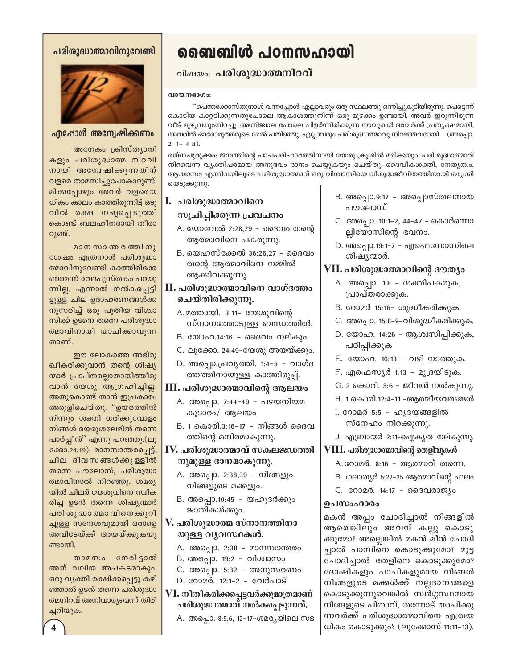#### പരിശുദ്ധാത്മാവിനുവേണ്ടി



#### എപ്പോൾ അന്വേഷിക്കണം

അനേകം ക്രിസ്ത്യാനി കളും പരിശുദ്ധാത്മ നിറവി നായി അന്വേഷിക്കുന്നതിന് വളരെ താമസിച്ചുപോകാറുണ്ട്. മിക്കപ്പോഴും അവർ വളരെയ ധികം കാലം കാത്തിരുന്നിട്ട് ഒടു വിൽ രക്ഷ നഷ്ടപ്പെടുത്തി കൊണ്ട് ബലഹീനരായി തീരാ റുണ്ട്.

മാന സാന്തരത്തിനു ശേഷം എത്രനാൾ പരിശുദ്ധാ ത്മാവിനുവേണ്ടി കാത്തിരിക്കേ ണമെന്ന് വേദപുസ്തകം പറയു ന്നില്ല. എന്നാൽ നൽകപ്പെട്ടി ട്ടുള്ള ചില ഉദാഹരണങ്ങൾക്ക നുസരിച്ച് ഒരു പുതിയ വിശ്വാ സിക്ക് ഉടനെ തന്നെ പരിശുദ്ധാ ത്മാവിനായി യാചിക്കാവുന്ന താണ്.

ഈ ലോകത്തെ അഭിമു ഖീകരിക്കുവാൻ തന്റെ ശിഷ്യ ന്മാർ പ്രാപ്തരല്ലാതായിത്തീരു വാൻ യേശു ആഗ്രഹിച്ചില്ല. അതുകൊണ്ട് താൻ ഇപ്രകാരം അരുളിചെയ്തു. "ഉയരത്തിൽ നിന്നും ശക്തി ധരിക്കുവോളം നിങ്ങൾ യെരുശലേമിൽ തന്നെ പാർപ്പീൻ'' എന്നു പറഞ്ഞു.(ലൂ ക്കോ.24:49). മാനസാന്തരപ്പെട്ട്, ചില ദിവസങ്ങൾക്കുള്ളിൽ തന്നെ പൗലോസ്, പരിശുദ്ധാ ത്മാവിനാൽ നിറഞ്ഞു. ശമര്യ യിൽ ചിലർ യേശുവിനെ സ്വീക രിച്ച ഉടൻ തന്നെ ശിഷ്യന്മാർ പരി ശു ദ്ധാ ത്മാ വിനെക്കുറി ച്ചുള്ള സന്ദേശവുമായി ഒരാളെ അവിടേയ്ക്ക് അയയ്ക്കുകയു ണ്ടായി

താമസം നേരിട്ടാൽ അത് വലിയ അപകടമാകും. ഒരു വ്യക്തി രക്ഷിക്കപ്പെട്ടു കഴി ഞ്ഞാൽ ഉടൻ തന്നെ പരിശുദ്ധാ ത്മനിറവ് അനിവാര്യമെന്ന് തിരി ച്ചറിയുക.

## ബൈബിൾ പഠനസഹായി

### പിഷയം: പരിശുദ്ധാത്മനിറവ്

#### വായനഭാഗം

''പെന്തക്കോസ്തുനാൾ വന്നപ്പോൾ എല്ലാവരും ഒരു സ്ഥലത്തു ഒന്നിച്ചുകൂടിയിരുന്നു. പെട്ടെന്ന് കൊടിയ കാറ്റടിക്കുന്നതുപോലെ ആകാശത്തുനിന്ന് ഒരു മുഴക്കം ഉണ്ടായി. അവർ ഇരുന്നിരുന്ന വീട് മുഴുവനുംനിറച്ചു. അഗ്നിജ്വാല പോലെ പിളർന്നിരിക്കുന്ന നാവുകൾ അവർക്ക് പ്രത്യക്ഷമായി, അവരിൽ ഓരോരുത്തരുടെ മേൽ പതിഞ്ഞു. എല്ലാവരും പരിശുദ്ധാത്മാവു നിറഞ്ഞവരായി (അപ്പൊ.  $2: 1 - 4$  a).

രത്**നചുരുക്കം:** ജനത്തിന്റെ പാപപരിഹാരത്തിനായി യേശു ക്രൂശിൽ മരിക്കയും, പരിശുദ്ധാത്മാവ് നിറവെന്ന വ്യക്തിപരമായ അനുഭവം ദാനം ചെയ്യുകയും ചെയ്തു. ദൈവീകശക്തി, നേതൃത്വം, ആശ്വാസം എന്നിവയിലൂടെ പരിശുദ്ധാത്മാവ് ഒരു വിശ്വാസിയെ വിശുദ്ധജീവിതത്തിനായി ഒരുക്കി യെടുക്കുന്നു.

### I. പരിശുദ്ധാത്മാവിനെ സൂചിപ്പിക്കുന്ന പ്രവചനം

- A. യോവേൽ 2:28,29 ദൈവം തന്റെ ആത്മാവിനെ പകരുന്നു.
- B. യെഹസ്ക്കേൽ 36:26,27 ദൈവം തന്റെ ആത്മാവിനെ നമ്മിൽ ആക്കിവക്കുന്നു.
- II. പരിശുദ്ധാത്മാവിനെ വാഗ്ദത്തം ചെയ്തിരിക്കുന്നു.
	- A.മത്തായി. 3:11- യേശുവിന്റെ സ്നാനത്തോടുള്ള ബന്ധത്തിൽ.
	- B. യോഹ.14:16 ദൈവം നല്കും.
	- C. ലൂക്കോ. 24:49-യേശു അയയ്ക്കും.
	- D. അപ്പൊ.പ്രവൃത്തി. 1:4-5 വാഗ്ദ ത്തത്തിനായുള്ള കാത്തിരുപ്പ്.

#### III. പരിശുദ്ധാത്മാവിന്റെ ആലയം

- A. അപ്പൊ. 7:44-49 പഴയനിയമ കൂടാരം/ ആലയം
- B. 1 കൊരി.3:16-17 നിങ്ങൾ ദൈവ ത്തിന്റെ മന്ദിരമാകുന്നു.

IV. പരിശുദ്ധാത്മാവ് സകലജഡത്തി നുമുള്ള ദാനമാകുന്നു.

- A. അപ്പൊ. 2:38,39 നിങ്ങളും നിങ്ങളുടെ മക്കളും.
- B. അപ്പൊ.10:45 യഹുദർക്കും ജാതികൾക്കും.

#### V. പരിശുദ്ധാത്മ സ്നാനത്തിനാ യുള്ള വ്യവസ്ഥകൾ.

- A. അപ്പൊ. 2:38 മാനസാന്തരം
- B. അപ്പൊ. 19:2 വിശ്വാസം
- C. അപ്പൊ. 5:32 അനുസരണം
- D. റോമർ. 12:1-2 വേർപാട്
- VI. നീതീകരിക്കപ്പെട്ടവർക്കുമാത്രമാണ് പരിശുദ്ധാത്മാവ് നൽകപ്പെടുന്നത്.
	- A. അപ്പൊ. 8:5,6, 12-17-ശമര്യയിലെ സഭ
- B. അപ്പൊ.9:17 അപ്പൊസ്തലനായ പൗലോസ്
- C. അപ്പൊ. 10:1-2, 44-47 കൊർന്നൊ ല്ലിയോസിന്റെ ഭവനം.
- D. അപ്പൊ.19:1-7 എഫെസോസിലെ ശിഷ്യന്മാർ.
- VII. പരിശുദ്ധാത്മാവിന്റെ ദൗത്യം
	- A. അപ്പൊ. 1:8 ശക്തിപകരുക, പ്രാപ്തരാക്കുക.
	- B. റോമർ 15:16- ശുദ്ധീകരിക്കുക.
	- C. അപ്പൊ. 15:8-9-വിശുദ്ധീകരിക്കുക.
	- D. യോഹ. 14:26 ആശ്വസിപ്പിക്കുക, പഠിപ്പിക്കുക
	- E. യോഹ. 16:13 വഴി നടത്തുക.
	- F. എഫെസ്യർ 1:13 മുദ്രയിടുക.
	- G. 2 കൊരി. 3:6 ജീവൻ നൽകുന്നു.
	- H. 1 കൊരി.12:4-11 -ആത്മീയവരങ്ങൾ
	- I. റോമർ 5:5 ഹൃദയങ്ങളിൽ സ്നേഹം നിറക്കുന്നു.
	- J. എബ്രായർ 2:11-ഐകൃത നല്കുന്നു.

#### $\mathbf{VIII.}$  പരിശുദ്ധാത്മാവിന്റെ തെളിവുകൾ

- A. റോമർ. 8:16 ആത്മാവ് തന്നെ.
- B. ഗലാതൃർ 5:22–25 ആത്മാവിന്റെ ഫലം
- C. റോമർ. 14:17 ദൈവരാജ്യം

#### ഉപസംഹാരം

മകൻ അപ്പം ചോദിച്ചാൽ നിങ്ങളിൽ ആരെങ്കിലും അവന് കല്ലു കൊടു ക്കുമോ? അല്ലെങ്കിൽ മകൻ മീൻ ചോദി ച്ചാൽ പാമ്പിനെ കൊടുക്കുമോ? മുട്ട ചോദിച്ചാൽ തേളിനെ കൊടുക്കുമോ? ദോഷികളും പാപികളുമായ നിങ്ങൾ നിങ്ങളുടെ മക്കൾക്ക് നല്ലദാനങ്ങളെ കൊടുക്കുന്നുവെങ്കിൽ സ്വർഗ്ഗസ്ഥനായ നിങ്ങളുടെ പിതാവ്, തന്നോട് യാചിക്കു ന്നവർക്ക് പരിശുദ്ധാത്മാവിനെ എത്രയ ധികം കൊടുക്കും? (ലൂക്കോസ് 11:11-13).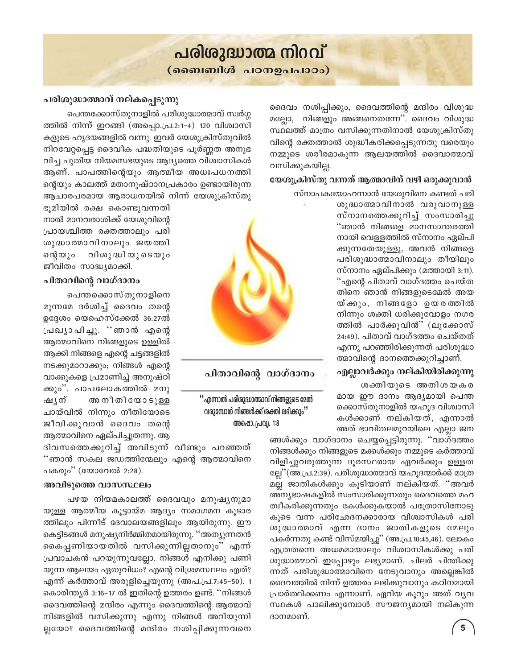## പരിശുദ്ധാത്മ നിറവ്

(ബൈബിൾ പഠനഉപപാഠം)

ദൈവം നശിപ്പിക്കും, ദൈവത്തിന്റെ മന്ദിരം വിശുദ്ധ മല്ലോ, നിങ്ങളും അങ്ങനെതന്നേ''. ദൈവം വിശുദ്ധ സ്ഥലത്ത് മാത്രം വസിക്കുന്നതിനാൽ യേശുക്രിസ്തു വിന്റെ രക്തത്താൽ ശുദ്ധീകരിക്കപ്പെടുന്നതു വരെയും നമ്മുടെ ശരീരമാകുന്ന ആലയത്തിൽ ദൈവാത്മാവ് വസിക്കുകയില്ല.

#### യേശുക്രിസ്തു വന്നത് ആത്മാവിന് വഴി ഒരുക്കുവാൻ

സ്നാപകയോഹന്നാൻ യേശുവിനെ കണ്ടത് പരി

ശുദ്ധാത്മാവിനാൽ വരുവാനുള്ള സ്നാനത്തെക്കുറിച്ച് സംസാരിച്ചു ്ഞാൻ നിങ്ങളെ മാനസാന്തരത്തി നായി വെള്ളത്തിൽ സ്നാനം ഏല്പി ക്കുന്നതേയുള്ളൂ, അവൻ നിങ്ങളെ പരിശുദ്ധാത്മാവിനാലും തീയിലും സ്നാനം ഏല്പിക്കും (മത്തായി 3:11). ്എന്റെ പിതാവ് വാഗ്ദത്തം ചെയ്ത തിനെ ഞാൻ നിങ്ങളുടെമേൽ അയ യ്ക്കും, നിങ്ങളോ ഉയരത്തിൽ നിന്നും ശക്തി ധരിക്കുവോളം നഗര ത്തിൽ പാർക്കുവിൻ" (ലൂക്കോസ് 24:49). പിതാവ് വാഗ്ദത്തം ചെയ്തത് എന്നു പറഞ്ഞിരിക്കുന്നത് പരിശുദ്ധാ ത്മാവിന്റെ ദാനത്തെക്കുറിച്ചാണ്.

#### എല്ലാവർക്കും നല്കിയിരിക്കുന്നു

ശക്തിയുടെ അതിശയകര മായ ഈ ദാനം ആദ്യമായി പെന്ത ക്കൊസ്തുനാളിൽ യഹൂദ വിശ്വാസി കൾക്കാണ് നല്കിയത്, എന്നാൽ അത് ഭാവിതലമുറയിലെ എല്ലാ ജന

ങ്ങൾക്കും വാഗ്ദാനം ചെയ്യപ്പെട്ടിരുന്നു. ''വാഗ്ദത്തം നിങ്ങൾക്കും നിങ്ങളുടെ മക്കൾക്കും നമ്മുടെ കർത്താവ് വിളിച്ചുവരുത്തുന്ന ദൂരസ്ഥരായ ഏവർക്കും ഉള്ളത ല്ലേ''(അ.പ്ര.2:39). പരിശുദ്ധാത്മാവ് യഹൂദന്മാർക്ക് മാത്ര മല്ല ജാതികൾക്കും കൂടിയാണ് നല്കിയത്. ''അവർ അന്യഭാഷകളിൽ സംസാരിക്കുന്നതും ദൈവത്തെ മഹ ത്വീകരിക്കുന്നതും കേൾക്കുകയാൽ പത്രോസിനോടു കൂടെ വന്ന പരിഛേദനക്കാരായ വിശ്വാസികൾ പരി ശുദ്ധാതമാവ് എന്ന ദാനം ജാതികളുടെ മേലും പകർന്നതു കണ്ട് വിസ്മയിച്ചു'' (അ.പ്ര.10:45,46). ലോകം എത്രതന്നെ അധമമായാലും വിശ്വാസികൾക്കു പരി ശുദ്ധാത്മാവ് ഇപ്പോഴും ലഭ്യമാണ്. ചിലർ ചിന്തിക്കു ന്നത് പരിശുദ്ധാത്മാവിനെ നേടുവാനും അല്ലെങ്കിൽ ദൈവത്തിൽ നിന്ന് ഉത്തരം ലഭിക്കുവാനും കഠിനമായി പ്രാർത്ഥിക്കണം എന്നാണ്. ഏറിയ കൂറും അത് വ്യവ സ്ഥകൾ പാലിക്കുമ്പോൾ സൗജന്യമായി നല്കുന്ന ദാനമാണ്.

#### പരിശുദ്ധാത്മാവ് നല്കപ്പെടുന്നു

പെന്തക്കോസ്തുനാളിൽ പരിശുദ്ധാത്മാവ് സ്വർഗ്ഗ ത്തിൽ നിന്ന് ഇറങ്ങി (അപ്പൊ.പ്ര.2:1-4) 120 വിശ്വാസി കളുടെ ഹൃദയങ്ങളിൽ വന്നു. ഇവർ യേശുക്രിസ്തുവിൽ നിറവേറ്റപ്പെട്ട ദൈവീക പദ്ധതിയുടെ പൂർണ്ണത അനുഭ വിച്ച പുതിയ നിയമസഭയുടെ ആദ്യത്തെ വിശ്വാസികൾ ആണ്. പാപത്തിന്റെയും ആത്മീയ അധഃപധനത്തി ന്റെയും കാലത്ത് മതാനുഷ്ഠാനപ്രകാരം ഉണ്ടായിരുന്ന ആചാരപരമായ ആരാധനയിൽ നിന്ന് യേശുക്രിസ്തു

ഭൂമിയിൽ രക്ഷ കൊണ്ടുവന്നതി നാൽ മാനവരാശിക്ക് യേശുവിന്റെ പ്രായശ്ചിത്ത രക്തത്താലും പരി ശുദ്ധാത്മാവിനാലും ജയത്തി സ്റ്റെയും വിശുദ്ധിയുടെയും ജീവിതം സാദ്ധ്യമാക്കി.

#### പിതാവിന്റെ വാഗ്ദാനം

പെന്തക്കൊസ്തുനാളിനെ മുന്നമേ ദർശിച്ച് ദൈവം തന്റെ ഉദ്ദേശം യെഹെസ്ക്കേൽ 36:27ൽ പ്രഖ്യാപിച്ചു. ''ഞാൻ എന്റെ ആത്മാവിനെ നിങ്ങളുടെ ഉള്ളിൽ ആക്കി നിങ്ങളെ എന്റെ ചട്ടങ്ങളിൽ നടക്കുമാറാക്കും; നിങ്ങൾ എന്റെ വാക്കുകളെ പ്രമാണിച്ച് അനുഷ്ഠി ക്കും''. പാപലോകത്തിൽ മനു ഷൃന് അ നീ തി യോ ടുള്ള ചായ്വിൽ നിന്നും നീതിയോടെ ജീവിക്കുവാൻ ദൈവം തന്റെ ആത്മാവിനെ ഏല്പിച്ചുതന്നു. ആ

ദിവസത്തെക്കുറിച്ച് അവിടുന്ന് വീണ്ടും പറഞ്ഞത് ''ഞാൻ സകല ജഡത്തിന്മേലും എന്റെ ആത്മാവിനെ പകരും" (യോവേൽ 2:28).

#### അവിടുത്തെ വാസസ്ഥലം

പഴയ നിയമകാലത്ത് ദൈവവും മനുഷ്യനുമാ യുള്ള ആത്മീയ കൂട്ടായ്മ ആദ്യം സമാഗമന കൂടാര ത്തിലും പിന്നീട് ദേവാലയങ്ങളിലും ആയിരുന്നു. ഈ കെട്ടിടങ്ങൾ മനുഷ്യനിർമ്മിതമായിരുന്നു. ''അത്യുന്നതൻ കൈപ്പണിയായതിൽ വസിക്കുന്നില്ലതാനും'' എന്ന് പ്രവാചകൻ പറയുന്നുവല്ലോ. നിങ്ങൾ എനിക്കു പണി യുന്ന ആലയം ഏതുവിധം? എന്റെ വിശ്രമസ്ഥലം എത്? എന്ന് കർത്താവ് അരുളിച്ചെയുന്നു (അപ.പ്ര.7:45–50). 1 കൊരിന്ത്യർ 3:16-17 ൽ ഇതിന്റെ ഉത്തരം ഉണ്ട്. ''നിങ്ങൾ ദൈവത്തിന്റെ മന്ദിരം എന്നും ദൈവത്തിന്റെ ആത്മാവ് നിങ്ങളിൽ വസിക്കുന്നു എന്നു നിങ്ങൾ അറിയുന്നി ല്ലയോ? ദൈവത്തിന്റെ മന്ദിരം നശിപ്പിക്കുന്നവനെ



#### പിതാവിന്റെ വാഗ്ദാനം

" എന്നാൽ പരിശുദ്ധാത്മാവ് നിങ്ങളുടെ മേൽ വരുമ്പോൾ നിങ്ങൾക്ക് ശക്തി ലഭിക്കും'' അപ്പൊ. പ്രവ്വ. 1:8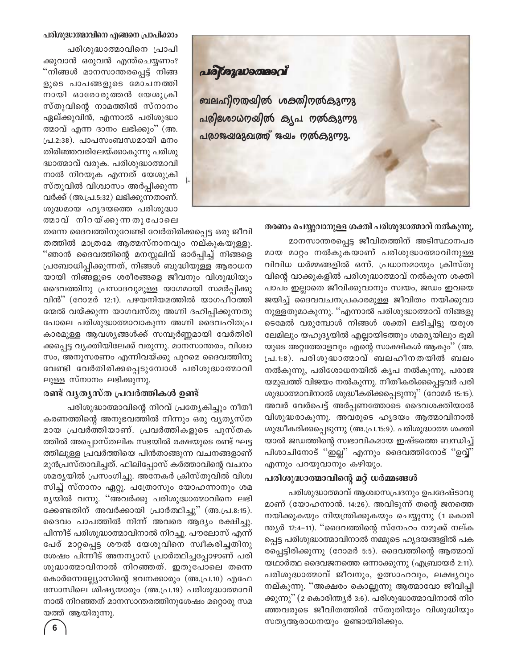#### പരിശുദ്ധാത്മാവിനെ എങ്ങനെ പ്രാപിക്കാം

പരിശുദ്ധാത്മാവിനെ പ്രാപി ക്കുവാൻ ഒരുവൻ എന്ത്ചെയ്യണം? "നിങ്ങൾ മാനസാന്തരപ്പെട്ട് നിങ്ങ ളുടെ പാപങ്ങളുടെ മോചനത്തി നായി ഓരോരുത്തൻ യേശുക്രി സ്തുവിന്റെ നാമത്തിൽ സ്നാനം ഏല്ക്കുവിൻ, എന്നാൽ പരിശുദ്ധാ ത്മാവ് എന്ന ദാനം ലഭിക്കും'' (അ. പ്ര.2:38). പാപസംബന്ധമായി മനം തിരിഞ്ഞവരിലേയ്ക്കാകുന്നു പരിശു ദ്ധാത്മാവ് വരുക. പരിശുദ്ധാത്മാവി നാൽ നിറയുക എന്നത് യേശുക്രി സ്തുവിൽ വിശ്വാസം അർപ്പിക്കുന്ന വർക്ക് (അ.പ്ര.5:32) ലഭിക്കുന്നതാണ്. ശുദ്ധമായ ഹൃദയത്തെ പരിശുദ്ധാ തമാവ് നിറയ്ക്കുന്നതുപോലെ

തന്നെ ദൈവത്തിനുവേണ്ടി വേർതിരിക്കപ്പെട്ട ഒരു ജീവി തത്തിൽ മാത്രമേ ആത്മസ്നാനവും നല്കുകയുള്ളൂ. "ഞാൻ ദൈവത്തിന്റെ മനസ്സലിവ് ഓർപ്പിച്ച് നിങ്ങളെ പ്രബോധിപ്പിക്കുന്നത്, നിങ്ങൾ ബുദ്ധിയുള്ള ആരാധന യായി നിങ്ങളുടെ ശരീരങ്ങളെ ജീവനും വിശുദ്ധിയും ദൈവത്തിനു പ്രസാദവുമുള്ള യാഗമായി സമർപ്പിക്കു വിൻ" (റോമർ 12:1). പഴയനിയമത്തിൽ യാഗപീഠത്തി ന്മേൽ വയ്ക്കുന്ന യാഗവസ്തു അഗ്നി ദഹിപ്പിക്കുന്നതു പോലെ പരിശുദ്ധാത്മാവാകുന്ന അഗ്നി ദൈവഹിതപ്ര കാരമുള്ള ആവശ്യങ്ങൾക്ക് സമ്പൂർണ്ണമായി വേർതിരി ക്കപ്പെട്ട വൃക്തിയിലേക്ക് വരുന്നു. മാനസാന്തരം, വിശ്വാ സം, അനുസരണം എന്നിവയ്ക്കു പുറമെ ദൈവത്തിനു വേണ്ടി വേർതിരിക്കപ്പെടുമ്പോൾ പരിശുദ്ധാത്മാവി ലുള്ള സ്നാനം ലഭിക്കുന്നു.

#### രണ്ട് വൃതൃസ്ത പ്രവർത്തികൾ ഉണ്ട്

പരിശുദ്ധാത്മാവിന്റെ നിറവ് പ്രത്യേകിച്ചും നീതീ കരണത്തിന്റെ അനുഭവത്തിൽ നിന്നും ഒരു വ്യത്യസ്ത മായ പ്രവർത്തിയാണ്. പ്രവർത്തികളുടെ പുസ്തക ത്തിൽ അപ്പൊസ്തലിക സഭയിൽ രക്ഷയുടെ രണ്ട് ഘട്ട ത്തിലുള്ള പ്രവർത്തിയെ പിൻതാങ്ങുന്ന വചനങ്ങളാണ് മുൻപ്രസ്താവിച്ചത്. ഫിലിപ്പോസ് കർത്താവിന്റെ വചനം ശമര്യയിൽ പ്രസംഗിച്ചു. അനേകർ ക്രിസ്തുവിൽ വിശ്വ സിച്ച് സ്നാനം ഏറ്റു. പത്രോസും യോഹന്നാനും ശമ ര്യയിൽ വന്നു. ''അവർക്കു പരിശുദ്ധാത്മാവിനെ ലഭി ക്കേണ്ടതിന് അവർക്കായി പ്രാർത്ഥിച്ചു'' (അ.പ്ര.8:15). ദൈവം പാപത്തിൽ നിന്ന് അവരെ ആദ്യം രക്ഷിച്ചു. പിന്നീട് പരിശുദ്ധാത്മാവിനാൽ നിറച്ചു. പൗലോസ് എന്ന് പേര് മാറ്റപ്പെട്ട ശൗൽ യേശുവിനെ സ്വീകരിച്ചതിനു ശേഷം പിന്നീട് അനന്യാസ് പ്രാർത്ഥിച്ചപ്പോഴാണ് പരി ശുദ്ധാത്മാവിനാൽ നിറഞ്ഞത്. ഇതുപോലെ തന്നെ കൊർന്നെല്ല്യോസിന്റെ ഭവനക്കാരും (അ.പ്ര.10) എഫേ സോസിലെ ശിഷ്യന്മാരും (അ.പ്ര.19) പരിശുദ്ധാത്മാവി നാൽ നിറഞ്ഞത് മാനസാന്തരത്തിനുശേഷം മറ്റൊരു സമ യത്ത് ആയിരുന്നു.



#### തരണം ചെയ്യുവാനുള്ള ശക്തി പരിശുദ്ധാത്മാവ് നൽകുന്നു.

മാനസാന്തരപ്പെട്ട ജീവിതത്തിന് അടിസ്ഥാനപര മായ മാറ്റം നൽകുകയാണ് പരിശുദ്ധാത്മാവിനുള്ള വിവിധ ധർമ്മങ്ങളിൽ ഒന്ന്. പ്രധാനമായും ക്രിസ്തു വിന്റെ വാക്കുകളിൽ പരിശുദ്ധാത്മാവ് നൽകുന്ന ശക്തി പാപം ഇല്ലാതെ ജീവിക്കുവാനും സ്വയം, ജഡം ഇവയെ ജയിച്ച് ദൈവവചനപ്രകാരമുള്ള ജീവിതം നയിക്കുവാ നുള്ളതുമാകുന്നു. ''എന്നാൽ പരിശുദ്ധാത്മാവ് നിങ്ങളു ടെമേൽ വരുമ്പോൾ നിങ്ങൾ ശക്തി ലഭിച്ചിട്ടു യരുശ ലേമിലും യഹൂദ്യയിൽ എല്ലായിടത്തും ശമര്യയിലും ഭൂമി യുടെ അറ്റത്തോളവും എന്റെ സാക്ഷികൾ ആകും'' (അ. പ്ര.1:8). പരിശുദ്ധാത്മാവ് ബലഹീനതയിൽ ബലം നൽകുന്നു, പരിശോധനയിൽ കൃപ നൽകുന്നു, പരാജ യമുഖത്ത് വിജയം നൽകുന്നു. നീതീകരിക്കപ്പെട്ടവർ പരി ശുദ്ധാത്മാവിനാൽ ശുദ്ധീകരിക്കപ്പെടുന്നു'' (റോമർ 15:15). അവർ വേർപെട്ട് അർപ്പണത്തോടെ ദൈവശക്തിയാൽ വിശുദ്ധരാകുന്നു. അവരുടെ ഹൃദയം ആത്മാവിനാൽ ശുദ്ധീകരിക്കപ്പെടുന്നു (അ.പ്ര.15:9). പരിശുദ്ധാത്മ ശക്തി യാൽ ജഡത്തിന്റെ സ്വഭാവികമായ ഇഷ്ടത്തെ ബന്ധിച്ച് പിശാചിനോട് "ഇല്ല" എന്നും ദൈവത്തിനോട് "ഉവ്വ്" എന്നും പറയുവാനും കഴിയും.

#### പരിശുദ്ധാത്മാവിന്റെ മറ്റ് ധർമ്മങ്ങൾ

പരിശുദ്ധാത്മാവ് ആശ്വാസപ്രദനും ഉപദേഷ്ടാവു മാണ് (യോഹന്നാൻ. 14:26). അവിടുന്ന് തന്റെ ജനത്തെ നയിക്കുകയും നിയന്ത്രിക്കുകയും ചെയ്യുന്നു (1 കൊരി ന്ത്യർ 12:4–11). ''ദൈവത്തിന്റെ സ്നേഹം നമുക്ക് നല്ക പ്പെട്ട പരിശുദ്ധാത്മാവിനാൽ നമ്മുടെ ഹൃദയങ്ങളിൽ പക രപ്പെട്ടിരിക്കുന്നു (റോമർ 5:5). ദൈവത്തിന്റെ ആത്മാവ് യഥാർത്ഥ ദൈവജനത്തെ ഒന്നാക്കുന്നു (എബ്രായർ 2:11). പരിശുദ്ധാത്മാവ് ജീവനും, ഉത്സാഹവും, ലക്ഷ്യവും നല്കുന്നു. ''അക്ഷരം കൊല്ലുന്നു ആത്മാവോ ജീവിപ്പി ക്കുന്നു'' (2 കൊരിന്ത്യർ 3:6). പരിശുദ്ധാത്മാവിനാൽ നിറ ഞ്ഞവരുടെ ജീവിതത്തിൽ സ്തുതിയും വിശുദ്ധിയും സത്യആരാധനയും ഉണ്ടായിരിക്കും.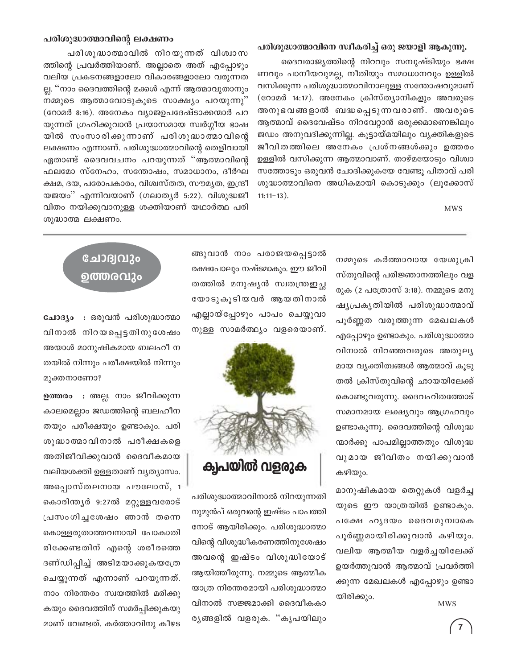#### പരിശുദ്ധാത്മാവിന്റെ ലക്ഷണം

പരിശുദ്ധാത്മാവിൽ നിറയുന്നത് വിശ്വാസ ത്തിന്റെ പ്രവർത്തിയാണ്. അല്ലാതെ അത് എപ്പോഴും വലിയ പ്രകടനങ്ങളാലോ വികാരങ്ങളാലോ വരുന്നത ല്ല. ''നാം ദൈവത്തിന്റെ മക്കൾ എന്ന് ആത്മാവുതാനും നമ്മുടെ ആത്മാവോടുകൂടെ സാക്ഷ്യം പറയുന്നു'' (റോമർ 8:16). അനേകം വ്യാജഉപദേഷ്ടാക്കന്മാർ പറ യുന്നത് ഗ്രഹിക്കുവാൻ പ്രയാസമായ സ്വർഗ്ഗീയ ഭാഷ യിൽ സംസാരിക്കുന്നാണ് പരിശുദ്ധാത്മാവിന്റെ ലക്ഷണം എന്നാണ്. പരിശുദ്ധാത്മാവിന്റെ തെളിവായി ഏതാണ്ട് ദൈവവചനം പറയുന്നത് "ആത്മാവിന്റെ ഫലമോ സ്നേഹം, സന്തോഷം, സമാധാനം, ദീർഘ ക്ഷമ, ദയ, പരോപകാരം, വിശ്വസ്തത, സൗമൃത, ഇന്ദ്രീ യജയം'' എന്നിവയാണ് (ഗലാതൃർ 5:22). വിശുദ്ധജീ വിതം നയിക്കുവാനുള്ള ശക്തിയാണ് യഥാർത്ഥ പരി ശുദ്ധാത്മ ലക്ഷണം.

#### പരിശുദ്ധാത്മാവിനെ സ്ഥീകരിച്ച് ഒരു ജയാളി ആകുന്നു.

ദൈവരാജ്യത്തിന്റെ നിറവും സമ്പുഷ്ടിയും ഭക്ഷ ണവും പാനീയവുമല്ല, നീതിയും സമാധാനവും ഉള്ളിൽ വസിക്കുന്ന പരിശുദ്ധാത്മാവിനാലുള്ള സന്തോഷവുമാണ് (റോമർ 14:17). അനേകം ക്രിസ്ത്യാനികളും അവരുടെ അനുഭവങ്ങളാൽ ബദ്ധപ്പെടുന്നവരാണ്. അവരുടെ ആത്മാവ് ദൈവേഷ്ടം നിറവേറ്റാൻ ഒരുക്കമാണെങ്കിലും ജഡം അനുവദിക്കുന്നില്ല. കൂട്ടായ്മയിലും വ്യക്തികളുടെ ജീവിതത്തിലെ അനേകം പ്രശ്നങ്ങൾക്കും ഉത്തരം ഉള്ളിൽ വസിക്കുന്ന ആത്മാവാണ്. താഴ്മയോടും വിശ്വാ സത്തോടും ഒരുവൻ ചോദിക്കുകയേ വേണ്ടു പിതാവ് പരി ശുദ്ധാത്മാവിനെ അധികമായി കൊടുക്കും (ലുക്കോസ്  $11:11-13$ ).

**MWS** 

നമ്മുടെ കർത്താവായ യേശുക്രി സ്തുവിന്റെ പരിജ്ഞാനത്തിലും വള രുക (2 പത്രോസ് 3:18). നമ്മുടെ മനു ഷ്യപ്രകൃതിയിൽ പരിശുദ്ധാത്മാവ് പൂർണ്ണത വരുത്തുന്ന മേഖലകൾ എപ്പോഴും ഉണ്ടാകും. പരിശുദ്ധാത്മാ വിനാൽ നിറഞ്ഞവരുടെ അതുലൃ മായ വ്യക്തിത്വങ്ങൾ ആത്മാവ് കൂടു തൽ ക്രിസ്തുവിന്റെ ഛായയിലേക്ക് കൊണ്ടുവരുന്നു. ദൈവഹിതത്തോട് സമാനമായ ലക്ഷ്യവും ആഗ്രഹവും ഉണ്ടാകുന്നു. ദൈവത്തിന്റെ വിശുദ്ധ ന്മാർക്കു പാപമില്ലാത്തതും വിശുദ്ധ വുമായ ജീവിതം നയിക്കുവാൻ കഴിയും.

മാനുഷികമായ തെറ്റുകൾ വളർച്ച യുടെ ഈ യാത്രയിൽ ഉണ്ടാകും. പക്ഷേ ഹൃദയം ദൈവമുമ്പാകെ പൂർണ്ണമായിരിക്കുവാൻ കഴിയും. വലിയ ആത്മീയ വളർച്ചയിലേക്ക് ഉയർത്തുവാൻ ആത്മാവ് പ്രവർത്തി ക്കുന്ന മേഖലകൾ എപ്പോഴും ഉണ്ടാ യിരിക്കും.

**MWS** 

ങ്ങുവാൻ നാം പരാജയപ്പെട്ടാൽ രക്ഷപോലും നഷ്ടമാകും. ഈ ജീവി തത്തിൽ മനുഷ്യൻ സ്വതന്ത്രഇച്ഛ യോടുകൂടിയവർ ആയതിനാൽ എല്ലായ്പ്പോഴും പാപം ചെയ്യുവാ നുള്ള സാമർത്ഥ്യം വളരെയാണ്.



പരിശുദ്ധാത്മാവിനാൽ നിറയുന്നതി നുമുൻപ് ഒരുവന്റെ ഇഷ്ടം പാപത്തി നോട് ആയിരിക്കും. പരിശുദ്ധാത്മാ വിന്റെ വിശുദ്ധീകരണത്തിനുശേഷം അവന്റെ ഇഷ്ടം വിശുദ്ധിയോട് ആയിത്തീരുന്നു. നമ്മുടെ ആത്മീക യാത്ര നിരന്തരമായി പരിശുദ്ധാത്മാ വിനാൽ സജ്ജമാക്കി ദൈവീകകാ രൃങ്ങളിൽ വളരുക. "കൃപയിലും

## ചോദ്വവും ഉത്തരവും

ചോദ്യം : ഒരുവൻ പരിശുദ്ധാത്മാ വിനാൽ നിറയപ്പെട്ടതിനുശേഷം അയാൾ മാനുഷികമായ ബലഹീ ന തയിൽ നിന്നും പരീക്ഷയിൽ നിന്നും മുക്തനാണോ?

ഉത്തരം : അല്ല. നാം ജീവിക്കുന്ന കാലമെല്ലാം ജഡത്തിന്റെ ബലഹീന തയും പരീക്ഷയും ഉണ്ടാകും. പരി ശുദ്ധാത്മാവിനാൽ പരീക്ഷകളെ അതിജീവിക്കുവാൻ ദൈവീകമായ വലിയശക്തി ഉള്ളതാണ് വ്യത്യാസം. അപ്പൊസ്തലനായ പൗലോസ്, 1 കൊരിന്ത്യർ 9:27ൽ മറ്റുള്ളവരോട് പ്രസംഗിച്ചശേഷം ഞാൻ തന്നെ കൊള്ളരുതാത്തവനായി പോകാതി രിക്കേണ്ടതിന് എന്റെ ശരീരത്തെ ദണ്ഡിപ്പിച്ച് അടിമയാക്കുകയത്രേ ചെയ്യുന്നത് എന്നാണ് പറയുന്നത്. നാം നിരന്തരം സ്വയത്തിൽ മരിക്കു കയും ദൈവത്തിന് സമർപ്പിക്കുകയു മാണ് വേണ്ടത്. കർത്താവിനു കീഴട